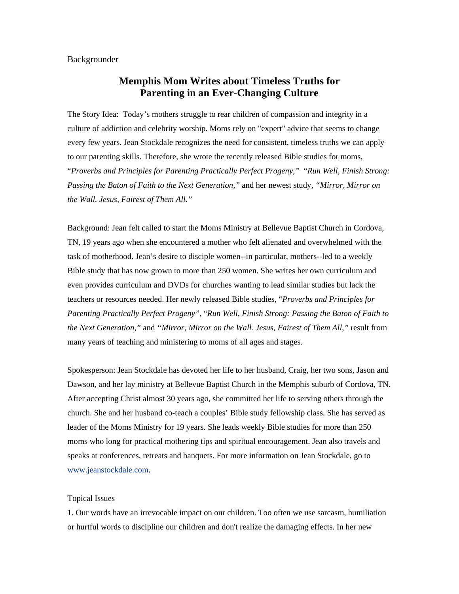## Backgrounder

## **Memphis Mom Writes about Timeless Truths for Parenting in an Ever-Changing Culture**

The Story Idea: Today's mothers struggle to rear children of compassion and integrity in a culture of addiction and celebrity worship. Moms rely on "expert" advice that seems to change every few years. Jean Stockdale recognizes the need for consistent, timeless truths we can apply to our parenting skills. Therefore, she wrote the recently released Bible studies for moms, "*Proverbs and Principles for Parenting Practically Perfect Progeny,"* "*Run Well, Finish Strong: Passing the Baton of Faith to the Next Generation,"* and her newest study, *"Mirror, Mirror on the Wall. Jesus, Fairest of Them All."* 

Background: Jean felt called to start the Moms Ministry at Bellevue Baptist Church in Cordova, TN, 19 years ago when she encountered a mother who felt alienated and overwhelmed with the task of motherhood. Jean's desire to disciple women--in particular, mothers--led to a weekly Bible study that has now grown to more than 250 women. She writes her own curriculum and even provides curriculum and DVDs for churches wanting to lead similar studies but lack the teachers or resources needed. Her newly released Bible studies, "*Proverbs and Principles for Parenting Practically Perfect Progeny",* "*Run Well, Finish Strong: Passing the Baton of Faith to the Next Generation,"* and *"Mirror, Mirror on the Wall. Jesus, Fairest of Them All,"* result from many years of teaching and ministering to moms of all ages and stages.

Spokesperson: Jean Stockdale has devoted her life to her husband, Craig, her two sons, Jason and Dawson, and her lay ministry at Bellevue Baptist Church in the Memphis suburb of Cordova, TN. After accepting Christ almost 30 years ago, she committed her life to serving others through the church. She and her husband co-teach a couples' Bible study fellowship class. She has served as leader of the Moms Ministry for 19 years. She leads weekly Bible studies for more than 250 moms who long for practical mothering tips and spiritual encouragement. Jean also travels and speaks at conferences, retreats and banquets. For more information on Jean Stockdale, go to www.jeanstockdale.com.

## Topical Issues

1. Our words have an irrevocable impact on our children. Too often we use sarcasm, humiliation or hurtful words to discipline our children and don't realize the damaging effects. In her new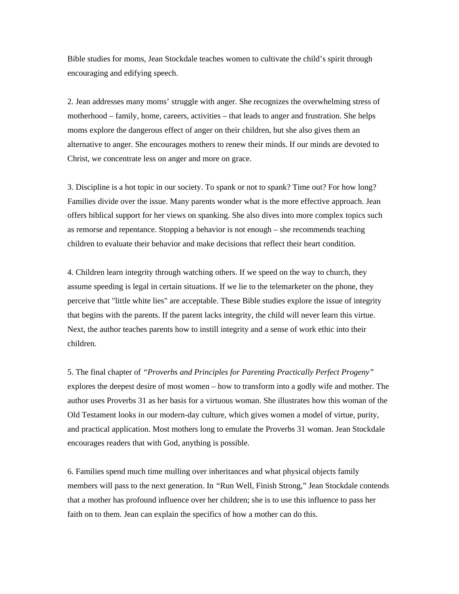Bible studies for moms, Jean Stockdale teaches women to cultivate the child's spirit through encouraging and edifying speech.

2. Jean addresses many moms' struggle with anger. She recognizes the overwhelming stress of motherhood – family, home, careers, activities – that leads to anger and frustration. She helps moms explore the dangerous effect of anger on their children, but she also gives them an alternative to anger. She encourages mothers to renew their minds. If our minds are devoted to Christ, we concentrate less on anger and more on grace.

3. Discipline is a hot topic in our society. To spank or not to spank? Time out? For how long? Families divide over the issue. Many parents wonder what is the more effective approach. Jean offers biblical support for her views on spanking. She also dives into more complex topics such as remorse and repentance. Stopping a behavior is not enough – she recommends teaching children to evaluate their behavior and make decisions that reflect their heart condition.

4. Children learn integrity through watching others. If we speed on the way to church, they assume speeding is legal in certain situations. If we lie to the telemarketer on the phone, they perceive that "little white lies" are acceptable. These Bible studies explore the issue of integrity that begins with the parents. If the parent lacks integrity, the child will never learn this virtue. Next, the author teaches parents how to instill integrity and a sense of work ethic into their children.

5. The final chapter of *"Proverbs and Principles for Parenting Practically Perfect Progeny"*  explores the deepest desire of most women – how to transform into a godly wife and mother. The author uses Proverbs 31 as her basis for a virtuous woman. She illustrates how this woman of the Old Testament looks in our modern-day culture, which gives women a model of virtue, purity, and practical application. Most mothers long to emulate the Proverbs 31 woman. Jean Stockdale encourages readers that with God, anything is possible.

6. Families spend much time mulling over inheritances and what physical objects family members will pass to the next generation. In *"*Run Well, Finish Strong," Jean Stockdale contends that a mother has profound influence over her children; she is to use this influence to pass her faith on to them. Jean can explain the specifics of how a mother can do this.